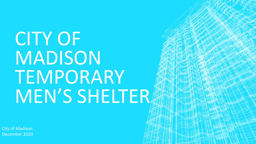# CITY OF MADISON TEMPORARY MEN'S SHELTER

City of Madison December 2020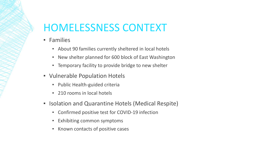# HOMELESSNESS CONTEXT

- Families
	- About 90 families currently sheltered in local hotels
	- New shelter planned for 600 block of East Washington
	- **EXA)** Temporary facility to provide bridge to new shelter
- Vulnerable Population Hotels
	- Public Health-guided criteria
	- 210 rooms in local hotels
- **Example 2 Isolation and Quarantine Hotels (Medical Respite)** 
	- Confirmed positive test for COVID-19 infection
	- Exhibiting common symptoms
	- **EXECT** Known contacts of positive cases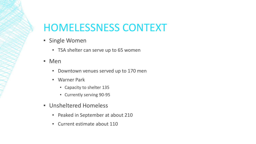# HOMELESSNESS CONTEXT

- **Example Women** 
	- **EXED:** TSA shelter can serve up to 65 women
- Men
	- Downtown venues served up to 170 men
	- Warner Park
		- Capacity to shelter 135
		- Currently serving 90-95
- Unsheltered Homeless
	- Peaked in September at about 210
	- Current estimate about 110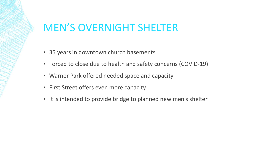# MEN'S OVERNIGHT SHELTER

- 35 years in downtown church basements
- Forced to close due to health and safety concerns (COVID-19)
- **EXED Warner Park offered needed space and capacity**
- **EXECT:** First Street offers even more capacity
- It is intended to provide bridge to planned new men's shelter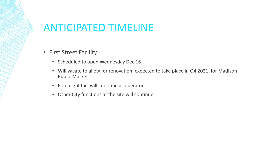# ANTICIPATED TIMELINE

- **Example 1 First Street Facility** 
	- **EXECUTED Scheduled to open Wednesday Dec 16**
	- Will vacate to allow for renovation, expected to take place in Q4 2021, for Madison Public Market
	- Porchlight Inc. will continue as operator
	- Other City functions at the site will continue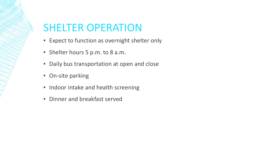# SHELTER OPERATION

- Expect to function as overnight shelter only
- Shelter hours 5 p.m. to 8 a.m.
- **Daily bus transportation at open and close**
- **On-site parking**
- **.** Indoor intake and health screening
- **E** Dinner and breakfast served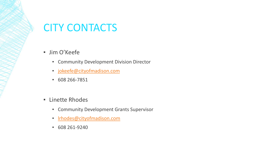# CITY CONTACTS

- **·** Jim O'Keefe
	- **EX Community Development Division Director**
	- **·** [jokeefe@cityofmadison.com](mailto:jokeefe@cityofmadison.com)
	- 608 266-7851
- **E** Linette Rhodes
	- **EX Community Development Grants Supervisor**
	- **·** Irhodes@cityofmadison.com
	- 608 261-9240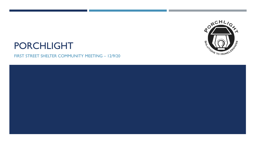

# PORCHLIGHT

FIRST STREET SHELTER COMMUNITY MEETING – 12/9/20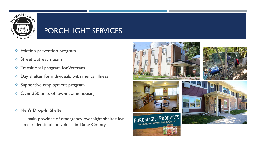

### PORCHLIGHT SERVICES

- **Eviction prevention program**
- **❖** Street outreach team
- Transitional program for Veterans
- ◆ Day shelter for individuals with mental illness
- Supportive employment program
- ◆ Over 350 units of low-income housing

◆ Men's Drop-In Shelter

– main provider of emergency overnight shelter for male-identified individuals in Dane County

\_\_\_\_\_\_\_\_\_\_\_\_\_\_\_\_\_\_\_\_\_\_\_\_\_\_\_\_\_\_\_\_\_\_\_\_\_\_\_\_\_









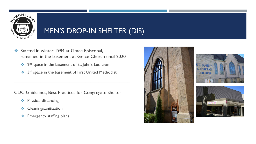

## MEN'S DROP-IN SHELTER (DIS)

- Started in winter 1984 at Grace Episcopal, remained in the basement at Grace Church until 2020
	- <sup>2nd</sup> space in the basement of St. John's Lutheran
	- <sup>3rd</sup> space in the basement of First United Methodist

\_\_\_\_\_\_\_\_\_\_\_\_\_\_\_\_\_\_\_\_\_\_\_\_\_\_\_\_\_\_\_\_\_\_\_\_\_\_\_\_\_\_\_\_

CDC Guidelines, Best Practices for Congregate Shelter

- Physical distancing
- **❖** Cleaning/sanitization
- $\div$  Emergency staffing plans





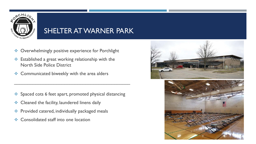

### SHELTER AT WARNER PARK

- ◆ Overwhelmingly positive experience for Porchlight
- Established a great working relationship with the North Side Police District
- ◆ Communicated biweekly with the area alders

Spaced cots 6 feet apart, promoted physical distancing

\_\_\_\_\_\_\_\_\_\_\_\_\_\_\_\_\_\_\_\_\_\_\_\_\_\_\_\_\_\_\_\_\_\_\_\_\_\_\_\_\_\_\_\_

- **Exemple 20 Cleaned the facility, laundered linens daily**
- ◆ Provided catered, individually packaged meals
- ❖ Consolidated staff into one location



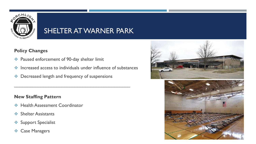

### SHELTER AT WARNER PARK

#### **Policy Changes**

- ◆ Paused enforcement of 90-day shelter limit
- $\cdot$  Increased access to individuals under influence of substances

\_\_\_\_\_\_\_\_\_\_\_\_\_\_\_\_\_\_\_\_\_\_\_\_\_\_\_\_\_\_\_\_\_\_\_\_\_\_\_\_\_\_\_\_

◆ Decreased length and frequency of suspensions

#### **New Staffing Pattern**

- $\div$  Health Assessment Coordinator
- ❖ Shelter Assistants
- Support Specialist
- **❖ Case Managers**



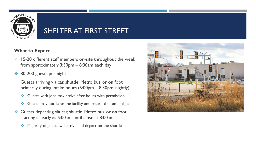

### SHELTER AT FIRST STREET

#### **What to Expect**

- ◆ 15-20 different staff members on-site throughout the week from approximately 3:30pm – 8:30am each day
- **♦ 80-200 guests per night**
- Guests arriving via car, shuttle, Metro bus, or on foot primarily during intake hours (5:00pm – 8:30pm, nightly)
	- Guests with jobs may arrive after hours with permission
	- $\triangleleft$  Guests may not leave the facility and return the same night
- Guests departing via car, shuttle, Metro bus, or on foot starting as early as 5:00am, until close at 8:00am
	- Majority of guests will arrive and depart on the shuttle

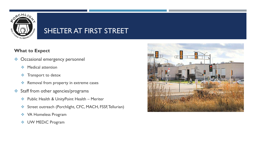

### SHELTER AT FIRST STREET

#### **What to Expect**

- ◆ Occasional emergency personnel
	- **❖** Medical attention
	- $\div$  Transport to detox
	- \* Removal from property in extreme cases
- Staff from other agencies/programs
	- ◆ Public Health & UnityPoint Health Meriter
	- Street outreach (Porchlight, CFC, MACH, FSSF, Tellurian)
	- **❖ VA Homeless Program**
	- **❖** UW MEDiC Program